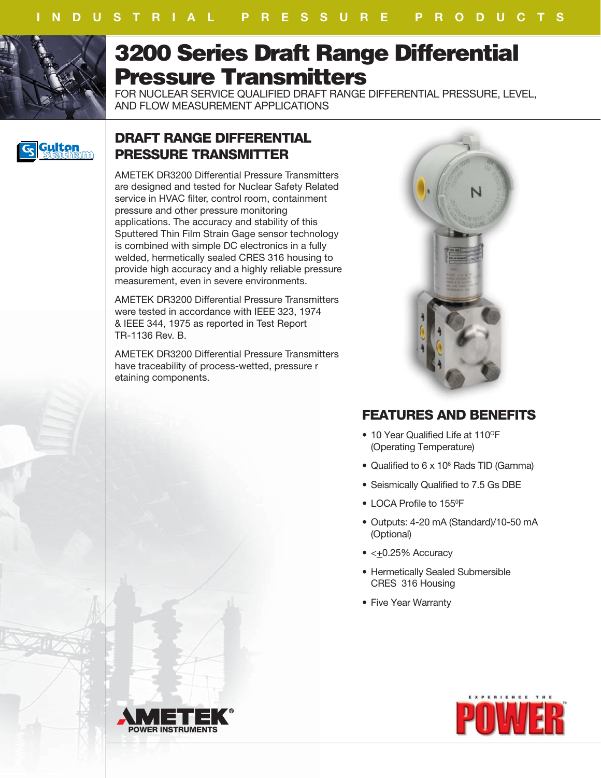

# **3200 Series Draft Range Differential Pressure Transmitters**

FOR NUCLEAR SERVICE QUALIFIED DRAFT RANGE DIFFERENTIAL PRESSURE, LEVEL, AND FLOW MEASUREMENT APPLICATIONS



## **DRAFT RANGE DIFFERENTIAL PRESSURE TRANSMITTER**

AMETEK DR3200 Differential Pressure Transmitters are designed and tested for Nuclear Safety Related service in HVAC filter, control room, containment pressure and other pressure monitoring applications. The accuracy and stability of this Sputtered Thin Film Strain Gage sensor technology is combined with simple DC electronics in a fully welded, hermetically sealed CRES 316 housing to provide high accuracy and a highly reliable pressure measurement, even in severe environments.

AMETEK DR3200 Differential Pressure Transmitters were tested in accordance with IEEE 323, 1974 & IEEE 344, 1975 as reported in Test Report TR-1136 Rev. B.

AMETEK DR3200 Differential Pressure Transmitters have traceability of process-wetted, pressure r etaining components.



## **FEATURES AND BENEFITS**

- 10 Year Qualified Life at 110°F (Operating Temperature)
- Qualified to 6 x 10<sup>6</sup> Rads TID (Gamma)
- Seismically Qualified to 7.5 Gs DBE
- LOCA Profile to 155<sup>°</sup>F
- Outputs: 4-20 mA (Standard)/10-50 mA (Optional)
- <+0.25% Accuracy
- Hermetically Sealed Submersible CRES 316 Housing
- Five Year Warranty